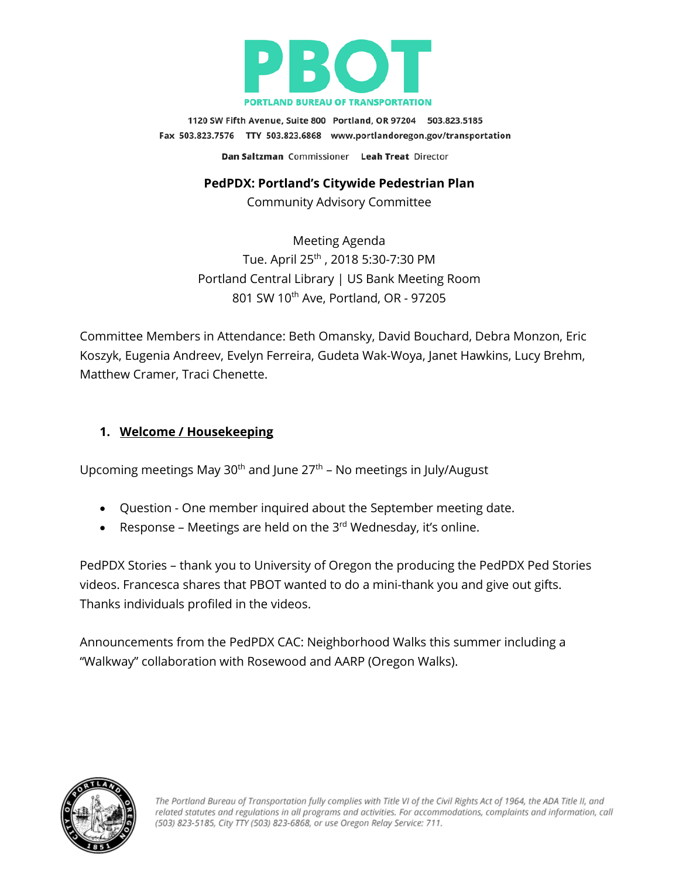

1120 SW Fifth Avenue, Suite 800 Portland, OR 97204 503.823.5185 Fax 503.823.7576 TTY 503.823.6868 www.portlandoregon.gov/transportation Dan Saltzman Commissioner Leah Treat Director

#### **PedPDX: Portland's Citywide Pedestrian Plan**

Community Advisory Committee

Meeting Agenda Tue. April 25th , 2018 5:30-7:30 PM Portland Central Library | US Bank Meeting Room 801 SW 10<sup>th</sup> Ave, Portland, OR - 97205

Committee Members in Attendance: Beth Omansky, David Bouchard, Debra Monzon, Eric Koszyk, Eugenia Andreev, Evelyn Ferreira, Gudeta Wak-Woya, Janet Hawkins, Lucy Brehm, Matthew Cramer, Traci Chenette.

#### **1. Welcome / Housekeeping**

Upcoming meetings May 30<sup>th</sup> and June  $27<sup>th</sup>$  – No meetings in July/August

- Question One member inquired about the September meeting date.
- Response Meetings are held on the  $3^{rd}$  Wednesday, it's online.

PedPDX Stories – thank you to University of Oregon the producing the PedPDX Ped Stories videos. Francesca shares that PBOT wanted to do a mini-thank you and give out gifts. Thanks individuals profiled in the videos.

Announcements from the PedPDX CAC: Neighborhood Walks this summer including a "Walkway" collaboration with Rosewood and AARP (Oregon Walks).

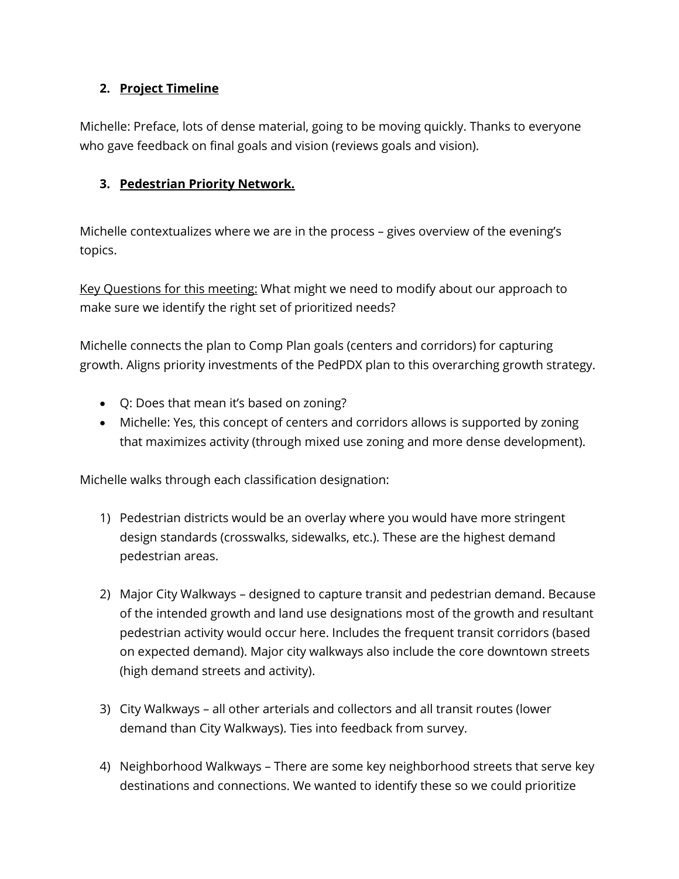### **2. Project Timeline**

Michelle: Preface, lots of dense material, going to be moving quickly. Thanks to everyone who gave feedback on final goals and vision (reviews goals and vision).

### **3. Pedestrian Priority Network.**

Michelle contextualizes where we are in the process – gives overview of the evening's topics.

Key Questions for this meeting: What might we need to modify about our approach to make sure we identify the right set of prioritized needs?

Michelle connects the plan to Comp Plan goals (centers and corridors) for capturing growth. Aligns priority investments of the PedPDX plan to this overarching growth strategy.

- Q: Does that mean it's based on zoning?
- Michelle: Yes, this concept of centers and corridors allows is supported by zoning that maximizes activity (through mixed use zoning and more dense development).

Michelle walks through each classification designation:

- 1) Pedestrian districts would be an overlay where you would have more stringent design standards (crosswalks, sidewalks, etc.). These are the highest demand pedestrian areas.
- 2) Major City Walkways designed to capture transit and pedestrian demand. Because of the intended growth and land use designations most of the growth and resultant pedestrian activity would occur here. Includes the frequent transit corridors (based on expected demand). Major city walkways also include the core downtown streets (high demand streets and activity).
- 3) City Walkways all other arterials and collectors and all transit routes (lower demand than City Walkways). Ties into feedback from survey.
- 4) Neighborhood Walkways There are some key neighborhood streets that serve key destinations and connections. We wanted to identify these so we could prioritize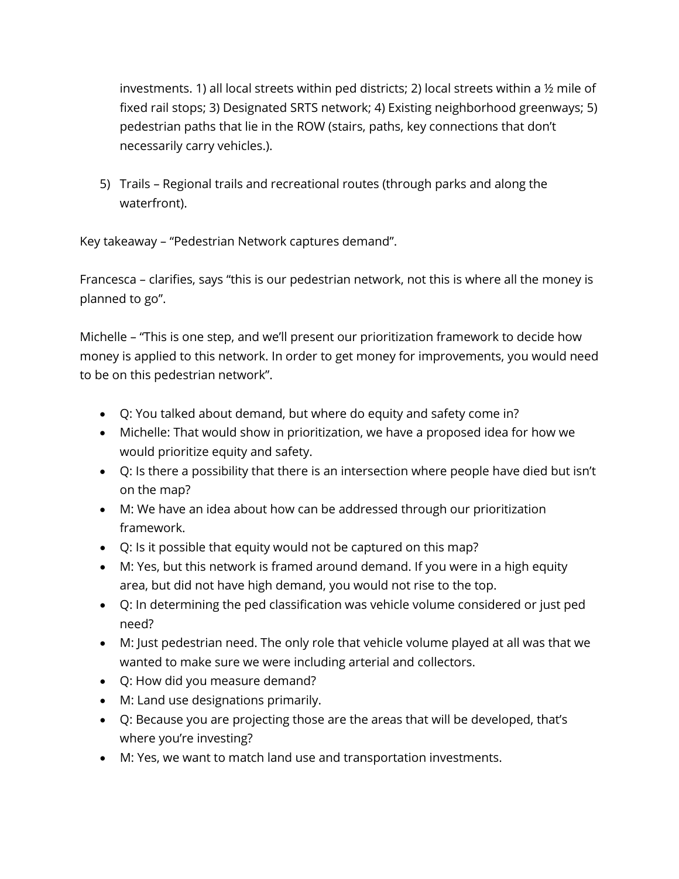investments. 1) all local streets within ped districts; 2) local streets within a ½ mile of fixed rail stops; 3) Designated SRTS network; 4) Existing neighborhood greenways; 5) pedestrian paths that lie in the ROW (stairs, paths, key connections that don't necessarily carry vehicles.).

5) Trails – Regional trails and recreational routes (through parks and along the waterfront).

Key takeaway – "Pedestrian Network captures demand".

Francesca – clarifies, says "this is our pedestrian network, not this is where all the money is planned to go".

Michelle – "This is one step, and we'll present our prioritization framework to decide how money is applied to this network. In order to get money for improvements, you would need to be on this pedestrian network".

- Q: You talked about demand, but where do equity and safety come in?
- Michelle: That would show in prioritization, we have a proposed idea for how we would prioritize equity and safety.
- Q: Is there a possibility that there is an intersection where people have died but isn't on the map?
- M: We have an idea about how can be addressed through our prioritization framework.
- Q: Is it possible that equity would not be captured on this map?
- M: Yes, but this network is framed around demand. If you were in a high equity area, but did not have high demand, you would not rise to the top.
- Q: In determining the ped classification was vehicle volume considered or just ped need?
- M: Just pedestrian need. The only role that vehicle volume played at all was that we wanted to make sure we were including arterial and collectors.
- Q: How did you measure demand?
- M: Land use designations primarily.
- Q: Because you are projecting those are the areas that will be developed, that's where you're investing?
- M: Yes, we want to match land use and transportation investments.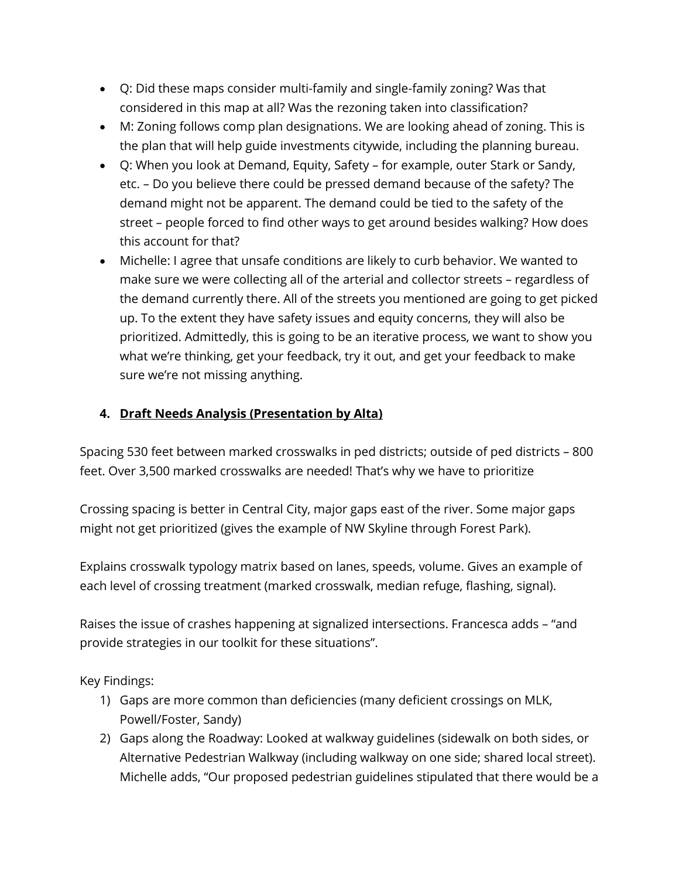- Q: Did these maps consider multi-family and single-family zoning? Was that considered in this map at all? Was the rezoning taken into classification?
- M: Zoning follows comp plan designations. We are looking ahead of zoning. This is the plan that will help guide investments citywide, including the planning bureau.
- Q: When you look at Demand, Equity, Safety for example, outer Stark or Sandy, etc. – Do you believe there could be pressed demand because of the safety? The demand might not be apparent. The demand could be tied to the safety of the street – people forced to find other ways to get around besides walking? How does this account for that?
- Michelle: I agree that unsafe conditions are likely to curb behavior. We wanted to make sure we were collecting all of the arterial and collector streets – regardless of the demand currently there. All of the streets you mentioned are going to get picked up. To the extent they have safety issues and equity concerns, they will also be prioritized. Admittedly, this is going to be an iterative process, we want to show you what we're thinking, get your feedback, try it out, and get your feedback to make sure we're not missing anything.

## **4. Draft Needs Analysis (Presentation by Alta)**

Spacing 530 feet between marked crosswalks in ped districts; outside of ped districts – 800 feet. Over 3,500 marked crosswalks are needed! That's why we have to prioritize

Crossing spacing is better in Central City, major gaps east of the river. Some major gaps might not get prioritized (gives the example of NW Skyline through Forest Park).

Explains crosswalk typology matrix based on lanes, speeds, volume. Gives an example of each level of crossing treatment (marked crosswalk, median refuge, flashing, signal).

Raises the issue of crashes happening at signalized intersections. Francesca adds – "and provide strategies in our toolkit for these situations".

Key Findings:

- 1) Gaps are more common than deficiencies (many deficient crossings on MLK, Powell/Foster, Sandy)
- 2) Gaps along the Roadway: Looked at walkway guidelines (sidewalk on both sides, or Alternative Pedestrian Walkway (including walkway on one side; shared local street). Michelle adds, "Our proposed pedestrian guidelines stipulated that there would be a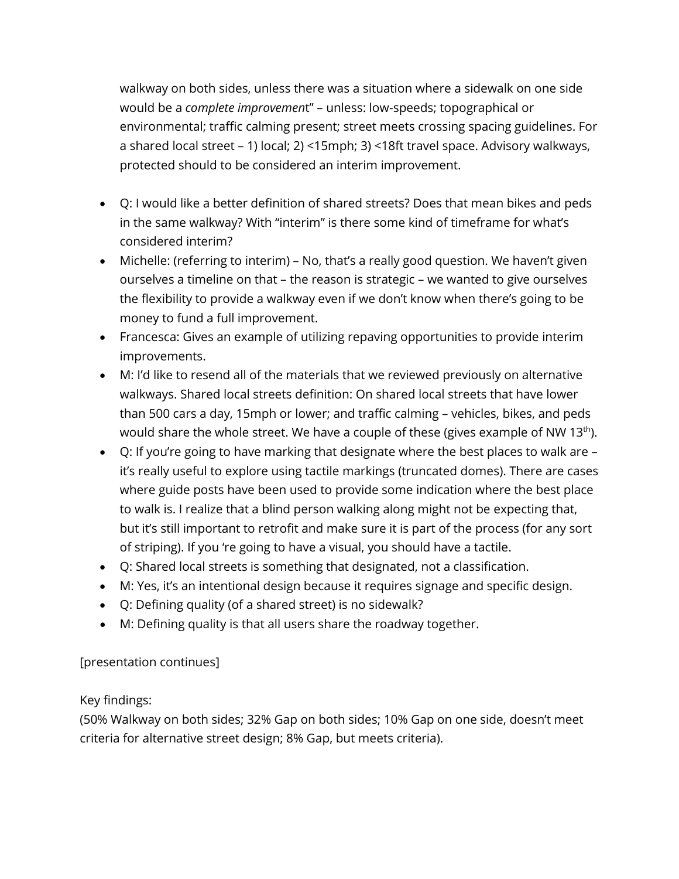walkway on both sides, unless there was a situation where a sidewalk on one side would be a *complete improvemen*t" – unless: low-speeds; topographical or environmental; traffic calming present; street meets crossing spacing guidelines. For a shared local street – 1) local; 2) <15mph; 3) <18ft travel space. Advisory walkways, protected should to be considered an interim improvement.

- Q: I would like a better definition of shared streets? Does that mean bikes and peds in the same walkway? With "interim" is there some kind of timeframe for what's considered interim?
- Michelle: (referring to interim) No, that's a really good question. We haven't given ourselves a timeline on that – the reason is strategic – we wanted to give ourselves the flexibility to provide a walkway even if we don't know when there's going to be money to fund a full improvement.
- Francesca: Gives an example of utilizing repaving opportunities to provide interim improvements.
- M: I'd like to resend all of the materials that we reviewed previously on alternative walkways. Shared local streets definition: On shared local streets that have lower than 500 cars a day, 15mph or lower; and traffic calming – vehicles, bikes, and peds would share the whole street. We have a couple of these (gives example of NW 13<sup>th</sup>).
- Q: If you're going to have marking that designate where the best places to walk are it's really useful to explore using tactile markings (truncated domes). There are cases where guide posts have been used to provide some indication where the best place to walk is. I realize that a blind person walking along might not be expecting that, but it's still important to retrofit and make sure it is part of the process (for any sort of striping). If you 're going to have a visual, you should have a tactile.
- Q: Shared local streets is something that designated, not a classification.
- M: Yes, it's an intentional design because it requires signage and specific design.
- Q: Defining quality (of a shared street) is no sidewalk?
- M: Defining quality is that all users share the roadway together.

## [presentation continues]

## Key findings:

(50% Walkway on both sides; 32% Gap on both sides; 10% Gap on one side, doesn't meet criteria for alternative street design; 8% Gap, but meets criteria).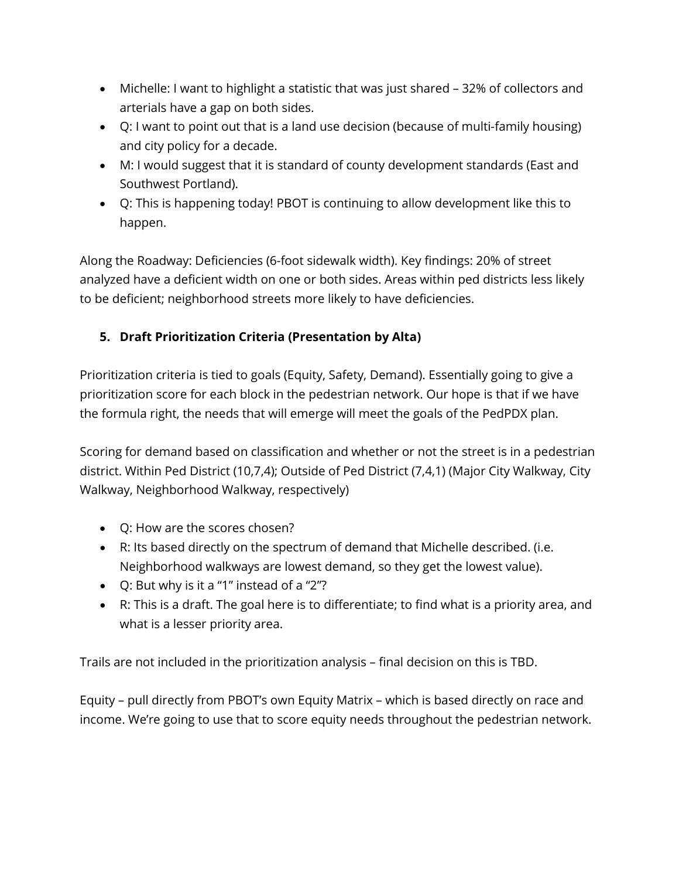- Michelle: I want to highlight a statistic that was just shared 32% of collectors and arterials have a gap on both sides.
- Q: I want to point out that is a land use decision (because of multi-family housing) and city policy for a decade.
- M: I would suggest that it is standard of county development standards (East and Southwest Portland).
- Q: This is happening today! PBOT is continuing to allow development like this to happen.

Along the Roadway: Deficiencies (6-foot sidewalk width). Key findings: 20% of street analyzed have a deficient width on one or both sides. Areas within ped districts less likely to be deficient; neighborhood streets more likely to have deficiencies.

# **5. Draft Prioritization Criteria (Presentation by Alta)**

Prioritization criteria is tied to goals (Equity, Safety, Demand). Essentially going to give a prioritization score for each block in the pedestrian network. Our hope is that if we have the formula right, the needs that will emerge will meet the goals of the PedPDX plan.

Scoring for demand based on classification and whether or not the street is in a pedestrian district. Within Ped District (10,7,4); Outside of Ped District (7,4,1) (Major City Walkway, City Walkway, Neighborhood Walkway, respectively)

- Q: How are the scores chosen?
- R: Its based directly on the spectrum of demand that Michelle described. (i.e. Neighborhood walkways are lowest demand, so they get the lowest value).
- Q: But why is it a "1" instead of a "2"?
- R: This is a draft. The goal here is to differentiate; to find what is a priority area, and what is a lesser priority area.

Trails are not included in the prioritization analysis – final decision on this is TBD.

Equity – pull directly from PBOT's own Equity Matrix – which is based directly on race and income. We're going to use that to score equity needs throughout the pedestrian network.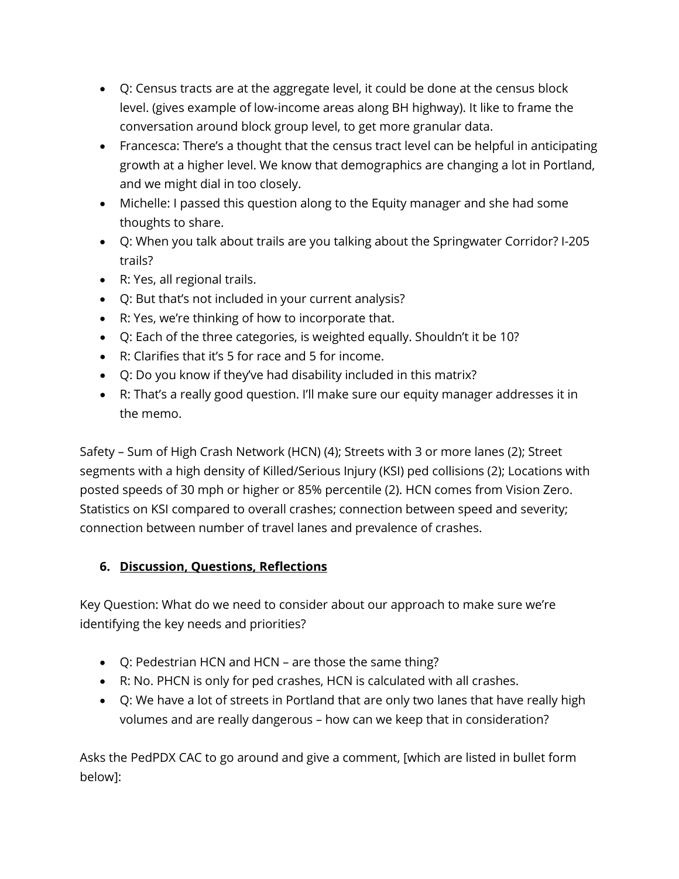- Q: Census tracts are at the aggregate level, it could be done at the census block level. (gives example of low-income areas along BH highway). It like to frame the conversation around block group level, to get more granular data.
- Francesca: There's a thought that the census tract level can be helpful in anticipating growth at a higher level. We know that demographics are changing a lot in Portland, and we might dial in too closely.
- Michelle: I passed this question along to the Equity manager and she had some thoughts to share.
- Q: When you talk about trails are you talking about the Springwater Corridor? I-205 trails?
- R: Yes, all regional trails.
- Q: But that's not included in your current analysis?
- R: Yes, we're thinking of how to incorporate that.
- Q: Each of the three categories, is weighted equally. Shouldn't it be 10?
- R: Clarifies that it's 5 for race and 5 for income.
- Q: Do you know if they've had disability included in this matrix?
- R: That's a really good question. I'll make sure our equity manager addresses it in the memo.

Safety – Sum of High Crash Network (HCN) (4); Streets with 3 or more lanes (2); Street segments with a high density of Killed/Serious Injury (KSI) ped collisions (2); Locations with posted speeds of 30 mph or higher or 85% percentile (2). HCN comes from Vision Zero. Statistics on KSI compared to overall crashes; connection between speed and severity; connection between number of travel lanes and prevalence of crashes.

## **6. Discussion, Questions, Reflections**

Key Question: What do we need to consider about our approach to make sure we're identifying the key needs and priorities?

- Q: Pedestrian HCN and HCN are those the same thing?
- R: No. PHCN is only for ped crashes, HCN is calculated with all crashes.
- Q: We have a lot of streets in Portland that are only two lanes that have really high volumes and are really dangerous – how can we keep that in consideration?

Asks the PedPDX CAC to go around and give a comment, [which are listed in bullet form below]: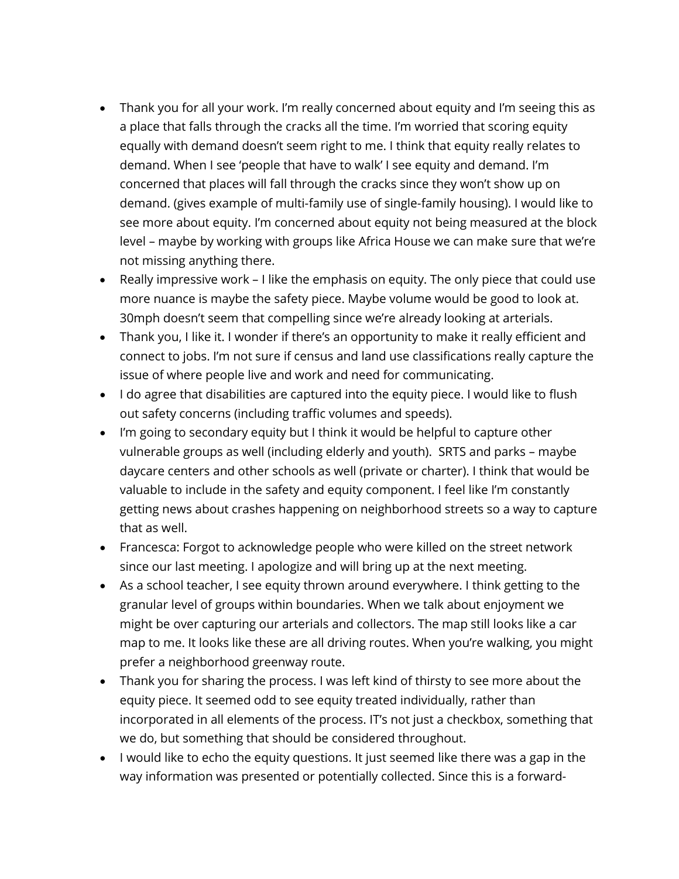- Thank you for all your work. I'm really concerned about equity and I'm seeing this as a place that falls through the cracks all the time. I'm worried that scoring equity equally with demand doesn't seem right to me. I think that equity really relates to demand. When I see 'people that have to walk' I see equity and demand. I'm concerned that places will fall through the cracks since they won't show up on demand. (gives example of multi-family use of single-family housing). I would like to see more about equity. I'm concerned about equity not being measured at the block level – maybe by working with groups like Africa House we can make sure that we're not missing anything there.
- Really impressive work I like the emphasis on equity. The only piece that could use more nuance is maybe the safety piece. Maybe volume would be good to look at. 30mph doesn't seem that compelling since we're already looking at arterials.
- Thank you, I like it. I wonder if there's an opportunity to make it really efficient and connect to jobs. I'm not sure if census and land use classifications really capture the issue of where people live and work and need for communicating.
- I do agree that disabilities are captured into the equity piece. I would like to flush out safety concerns (including traffic volumes and speeds).
- I'm going to secondary equity but I think it would be helpful to capture other vulnerable groups as well (including elderly and youth). SRTS and parks – maybe daycare centers and other schools as well (private or charter). I think that would be valuable to include in the safety and equity component. I feel like I'm constantly getting news about crashes happening on neighborhood streets so a way to capture that as well.
- Francesca: Forgot to acknowledge people who were killed on the street network since our last meeting. I apologize and will bring up at the next meeting.
- As a school teacher, I see equity thrown around everywhere. I think getting to the granular level of groups within boundaries. When we talk about enjoyment we might be over capturing our arterials and collectors. The map still looks like a car map to me. It looks like these are all driving routes. When you're walking, you might prefer a neighborhood greenway route.
- Thank you for sharing the process. I was left kind of thirsty to see more about the equity piece. It seemed odd to see equity treated individually, rather than incorporated in all elements of the process. IT's not just a checkbox, something that we do, but something that should be considered throughout.
- I would like to echo the equity questions. It just seemed like there was a gap in the way information was presented or potentially collected. Since this is a forward-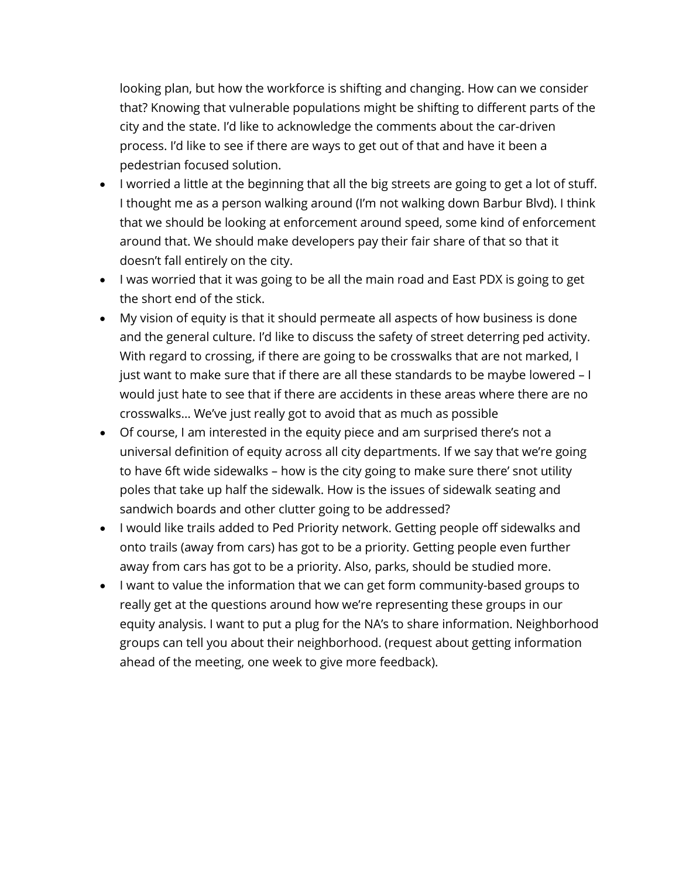looking plan, but how the workforce is shifting and changing. How can we consider that? Knowing that vulnerable populations might be shifting to different parts of the city and the state. I'd like to acknowledge the comments about the car-driven process. I'd like to see if there are ways to get out of that and have it been a pedestrian focused solution.

- I worried a little at the beginning that all the big streets are going to get a lot of stuff. I thought me as a person walking around (I'm not walking down Barbur Blvd). I think that we should be looking at enforcement around speed, some kind of enforcement around that. We should make developers pay their fair share of that so that it doesn't fall entirely on the city.
- I was worried that it was going to be all the main road and East PDX is going to get the short end of the stick.
- My vision of equity is that it should permeate all aspects of how business is done and the general culture. I'd like to discuss the safety of street deterring ped activity. With regard to crossing, if there are going to be crosswalks that are not marked, I just want to make sure that if there are all these standards to be maybe lowered – I would just hate to see that if there are accidents in these areas where there are no crosswalks… We've just really got to avoid that as much as possible
- Of course, I am interested in the equity piece and am surprised there's not a universal definition of equity across all city departments. If we say that we're going to have 6ft wide sidewalks – how is the city going to make sure there' snot utility poles that take up half the sidewalk. How is the issues of sidewalk seating and sandwich boards and other clutter going to be addressed?
- I would like trails added to Ped Priority network. Getting people off sidewalks and onto trails (away from cars) has got to be a priority. Getting people even further away from cars has got to be a priority. Also, parks, should be studied more.
- I want to value the information that we can get form community-based groups to really get at the questions around how we're representing these groups in our equity analysis. I want to put a plug for the NA's to share information. Neighborhood groups can tell you about their neighborhood. (request about getting information ahead of the meeting, one week to give more feedback).